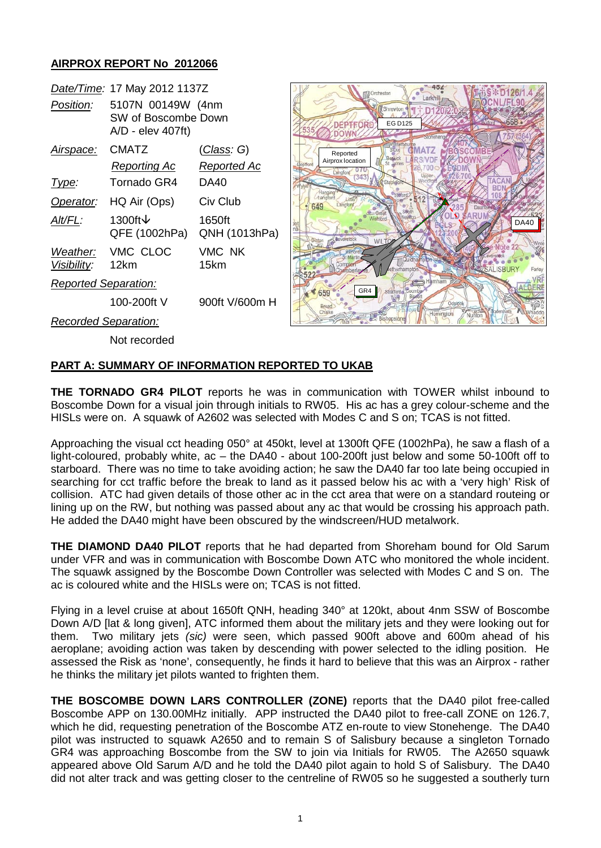### **AIRPROX REPORT No 2012066**

|                             | Date/Time: 17 May 2012 1137Z                                  |                         |
|-----------------------------|---------------------------------------------------------------|-------------------------|
| Position:                   | 5107N 00149W (4nm<br>SW of Boscombe Down<br>A/D - elev 407ft) |                         |
| Airspace:                   | CMATZ                                                         | (Class: G)              |
|                             | Reporting Ac                                                  | <u>Reported</u> Ac      |
| lype:                       | Tornado GR4                                                   | DA40                    |
| Operator:                   | HQ Air (Ops)                                                  | Civ Club                |
| Alt/FL:                     | 1300ft↓<br>QFE (1002hPa)                                      | 1650ft<br>QNH (1013hPa) |
| Visibility: 12km            | Weather: VMC CLOC                                             | VMC NK<br>15km          |
| <b>Reported Separation:</b> |                                                               |                         |
|                             | 100-200ft V                                                   | 900ft V/600m H          |
| <b>Recorded Separation:</b> |                                                               |                         |



Not recorded

# **PART A: SUMMARY OF INFORMATION REPORTED TO UKAB**

**THE TORNADO GR4 PILOT** reports he was in communication with TOWER whilst inbound to Boscombe Down for a visual join through initials to RW05. His ac has a grey colour-scheme and the HISLs were on. A squawk of A2602 was selected with Modes C and S on; TCAS is not fitted.

Approaching the visual cct heading 050° at 450kt, level at 1300ft QFE (1002hPa), he saw a flash of a light-coloured, probably white, ac – the DA40 - about 100-200ft just below and some 50-100ft off to starboard. There was no time to take avoiding action; he saw the DA40 far too late being occupied in searching for cct traffic before the break to land as it passed below his ac with a 'very high' Risk of collision. ATC had given details of those other ac in the cct area that were on a standard routeing or lining up on the RW, but nothing was passed about any ac that would be crossing his approach path. He added the DA40 might have been obscured by the windscreen/HUD metalwork.

**THE DIAMOND DA40 PILOT** reports that he had departed from Shoreham bound for Old Sarum under VFR and was in communication with Boscombe Down ATC who monitored the whole incident. The squawk assigned by the Boscombe Down Controller was selected with Modes C and S on. The ac is coloured white and the HISLs were on; TCAS is not fitted.

Flying in a level cruise at about 1650ft QNH, heading 340° at 120kt, about 4nm SSW of Boscombe Down A/D [lat & long given], ATC informed them about the military jets and they were looking out for them. Two military jets *(sic)* were seen, which passed 900ft above and 600m ahead of his aeroplane; avoiding action was taken by descending with power selected to the idling position. He assessed the Risk as 'none', consequently, he finds it hard to believe that this was an Airprox - rather he thinks the military jet pilots wanted to frighten them.

**THE BOSCOMBE DOWN LARS CONTROLLER (ZONE)** reports that the DA40 pilot free-called Boscombe APP on 130.00MHz initially. APP instructed the DA40 pilot to free-call ZONE on 126.7, which he did, requesting penetration of the Boscombe ATZ en-route to view Stonehenge. The DA40 pilot was instructed to squawk A2650 and to remain S of Salisbury because a singleton Tornado GR4 was approaching Boscombe from the SW to join via Initials for RW05. The A2650 squawk appeared above Old Sarum A/D and he told the DA40 pilot again to hold S of Salisbury. The DA40 did not alter track and was getting closer to the centreline of RW05 so he suggested a southerly turn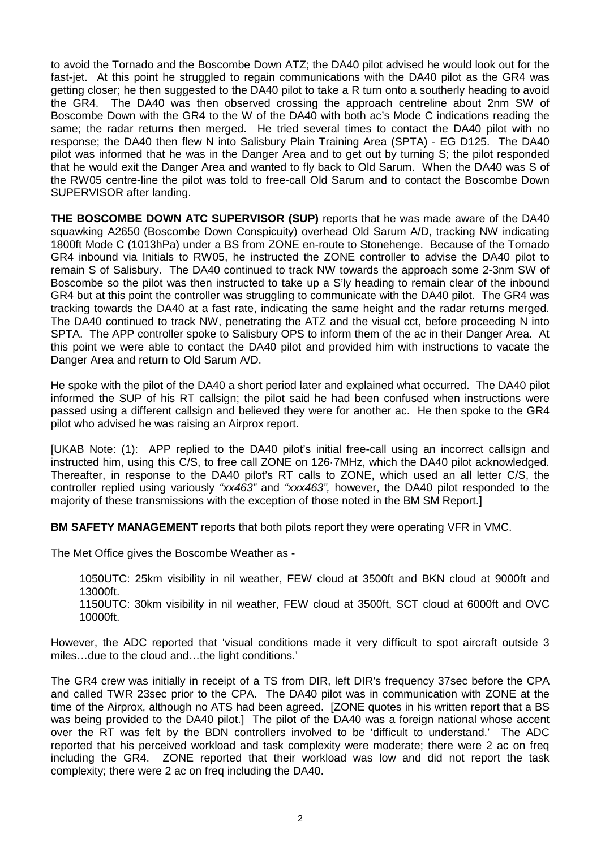to avoid the Tornado and the Boscombe Down ATZ; the DA40 pilot advised he would look out for the fast-jet. At this point he struggled to regain communications with the DA40 pilot as the GR4 was getting closer; he then suggested to the DA40 pilot to take a R turn onto a southerly heading to avoid the GR4. The DA40 was then observed crossing the approach centreline about 2nm SW of Boscombe Down with the GR4 to the W of the DA40 with both ac's Mode C indications reading the same; the radar returns then merged. He tried several times to contact the DA40 pilot with no response; the DA40 then flew N into Salisbury Plain Training Area (SPTA) - EG D125. The DA40 pilot was informed that he was in the Danger Area and to get out by turning S; the pilot responded that he would exit the Danger Area and wanted to fly back to Old Sarum. When the DA40 was S of the RW05 centre-line the pilot was told to free-call Old Sarum and to contact the Boscombe Down SUPERVISOR after landing.

**THE BOSCOMBE DOWN ATC SUPERVISOR (SUP)** reports that he was made aware of the DA40 squawking A2650 (Boscombe Down Conspicuity) overhead Old Sarum A/D, tracking NW indicating 1800ft Mode C (1013hPa) under a BS from ZONE en-route to Stonehenge. Because of the Tornado GR4 inbound via Initials to RW05, he instructed the ZONE controller to advise the DA40 pilot to remain S of Salisbury. The DA40 continued to track NW towards the approach some 2-3nm SW of Boscombe so the pilot was then instructed to take up a S'ly heading to remain clear of the inbound GR4 but at this point the controller was struggling to communicate with the DA40 pilot. The GR4 was tracking towards the DA40 at a fast rate, indicating the same height and the radar returns merged. The DA40 continued to track NW, penetrating the ATZ and the visual cct, before proceeding N into SPTA. The APP controller spoke to Salisbury OPS to inform them of the ac in their Danger Area. At this point we were able to contact the DA40 pilot and provided him with instructions to vacate the Danger Area and return to Old Sarum A/D.

He spoke with the pilot of the DA40 a short period later and explained what occurred. The DA40 pilot informed the SUP of his RT callsign; the pilot said he had been confused when instructions were passed using a different callsign and believed they were for another ac. He then spoke to the GR4 pilot who advised he was raising an Airprox report.

[UKAB Note: (1): APP replied to the DA40 pilot's initial free-call using an incorrect callsign and instructed him, using this C/S, to free call ZONE on 126·7MHz, which the DA40 pilot acknowledged. Thereafter, in response to the DA40 pilot's RT calls to ZONE, which used an all letter C/S, the controller replied using variously *"xx463"* and *"xxx463",* however, the DA40 pilot responded to the majority of these transmissions with the exception of those noted in the BM SM Report.]

**BM SAFETY MANAGEMENT** reports that both pilots report they were operating VFR in VMC.

The Met Office gives the Boscombe Weather as -

1050UTC: 25km visibility in nil weather, FEW cloud at 3500ft and BKN cloud at 9000ft and 13000ft.

1150UTC: 30km visibility in nil weather, FEW cloud at 3500ft, SCT cloud at 6000ft and OVC 10000ft.

However, the ADC reported that 'visual conditions made it very difficult to spot aircraft outside 3 miles…due to the cloud and…the light conditions.'

The GR4 crew was initially in receipt of a TS from DIR, left DIR's frequency 37sec before the CPA and called TWR 23sec prior to the CPA. The DA40 pilot was in communication with ZONE at the time of the Airprox, although no ATS had been agreed. [ZONE quotes in his written report that a BS was being provided to the DA40 pilot.] The pilot of the DA40 was a foreign national whose accent over the RT was felt by the BDN controllers involved to be 'difficult to understand.' The ADC reported that his perceived workload and task complexity were moderate; there were 2 ac on freq including the GR4. ZONE reported that their workload was low and did not report the task complexity; there were 2 ac on freq including the DA40.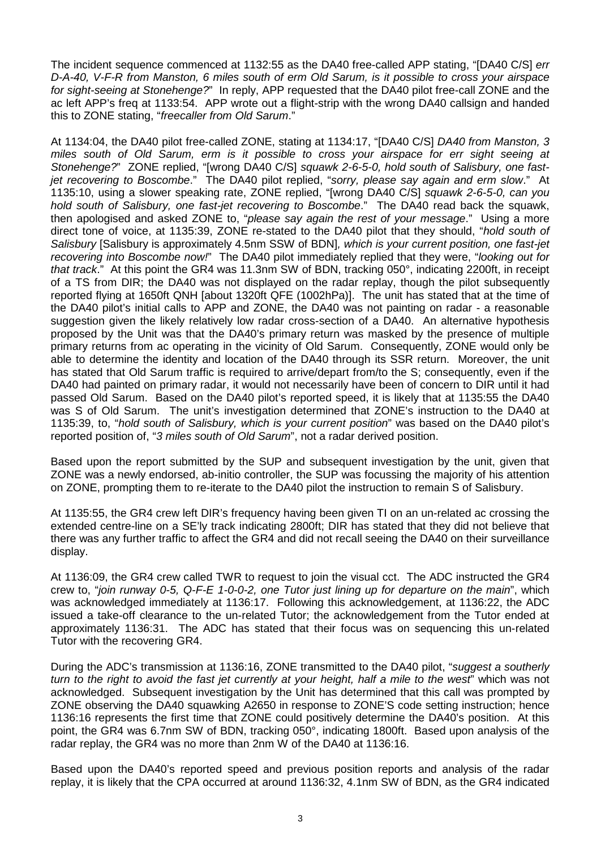The incident sequence commenced at 1132:55 as the DA40 free-called APP stating, "[DA40 C/S] *err D-A-40, V-F-R from Manston, 6 miles south of erm Old Sarum, is it possible to cross your airspace for sight-seeing at Stonehenge?*" In reply, APP requested that the DA40 pilot free-call ZONE and the ac left APP's freq at 1133:54. APP wrote out a flight-strip with the wrong DA40 callsign and handed this to ZONE stating, "*freecaller from Old Sarum*."

At 1134:04, the DA40 pilot free-called ZONE, stating at 1134:17, "[DA40 C/S] *DA40 from Manston, 3 miles south of Old Sarum, erm is it possible to cross your airspace for err sight seeing at Stonehenge?*" ZONE replied, "[wrong DA40 C/S] *squawk 2-6-5-0, hold south of Salisbury, one fastjet recovering to Boscombe*." The DA40 pilot replied, "*sorry, please say again and erm slow*." At 1135:10, using a slower speaking rate, ZONE replied, "[wrong DA40 C/S] *squawk 2-6-5-0, can you hold south of Salisbury, one fast-jet recovering to Boscombe*." The DA40 read back the squawk, then apologised and asked ZONE to, "*please say again the rest of your message*." Using a more direct tone of voice, at 1135:39, ZONE re-stated to the DA40 pilot that they should, "*hold south of Salisbury* [Salisbury is approximately 4.5nm SSW of BDN]*, which is your current position, one fast-jet recovering into Boscombe now!*" The DA40 pilot immediately replied that they were, "*looking out for that track*." At this point the GR4 was 11.3nm SW of BDN, tracking 050°, indicating 2200ft, in receipt of a TS from DIR; the DA40 was not displayed on the radar replay, though the pilot subsequently reported flying at 1650ft QNH [about 1320ft QFE (1002hPa)]. The unit has stated that at the time of the DA40 pilot's initial calls to APP and ZONE, the DA40 was not painting on radar - a reasonable suggestion given the likely relatively low radar cross-section of a DA40. An alternative hypothesis proposed by the Unit was that the DA40's primary return was masked by the presence of multiple primary returns from ac operating in the vicinity of Old Sarum. Consequently, ZONE would only be able to determine the identity and location of the DA40 through its SSR return. Moreover, the unit has stated that Old Sarum traffic is required to arrive/depart from/to the S; consequently, even if the DA40 had painted on primary radar, it would not necessarily have been of concern to DIR until it had passed Old Sarum. Based on the DA40 pilot's reported speed, it is likely that at 1135:55 the DA40 was S of Old Sarum. The unit's investigation determined that ZONE's instruction to the DA40 at 1135:39, to, "*hold south of Salisbury, which is your current position*" was based on the DA40 pilot's reported position of, "*3 miles south of Old Sarum*", not a radar derived position.

Based upon the report submitted by the SUP and subsequent investigation by the unit, given that ZONE was a newly endorsed, ab-initio controller, the SUP was focussing the majority of his attention on ZONE, prompting them to re-iterate to the DA40 pilot the instruction to remain S of Salisbury.

At 1135:55, the GR4 crew left DIR's frequency having been given TI on an un-related ac crossing the extended centre-line on a SE'ly track indicating 2800ft; DIR has stated that they did not believe that there was any further traffic to affect the GR4 and did not recall seeing the DA40 on their surveillance display.

At 1136:09, the GR4 crew called TWR to request to join the visual cct. The ADC instructed the GR4 crew to, "*join runway 0-5, Q-F-E 1-0-0-2, one Tutor just lining up for departure on the main*", which was acknowledged immediately at 1136:17. Following this acknowledgement, at 1136:22, the ADC issued a take-off clearance to the un-related Tutor; the acknowledgement from the Tutor ended at approximately 1136:31. The ADC has stated that their focus was on sequencing this un-related Tutor with the recovering GR4.

During the ADC's transmission at 1136:16, ZONE transmitted to the DA40 pilot, "*suggest a southerly turn to the right to avoid the fast jet currently at your height, half a mile to the west*" which was not acknowledged. Subsequent investigation by the Unit has determined that this call was prompted by ZONE observing the DA40 squawking A2650 in response to ZONE'S code setting instruction; hence 1136:16 represents the first time that ZONE could positively determine the DA40's position. At this point, the GR4 was 6.7nm SW of BDN, tracking 050°, indicating 1800ft. Based upon analysis of the radar replay, the GR4 was no more than 2nm W of the DA40 at 1136:16.

Based upon the DA40's reported speed and previous position reports and analysis of the radar replay, it is likely that the CPA occurred at around 1136:32, 4.1nm SW of BDN, as the GR4 indicated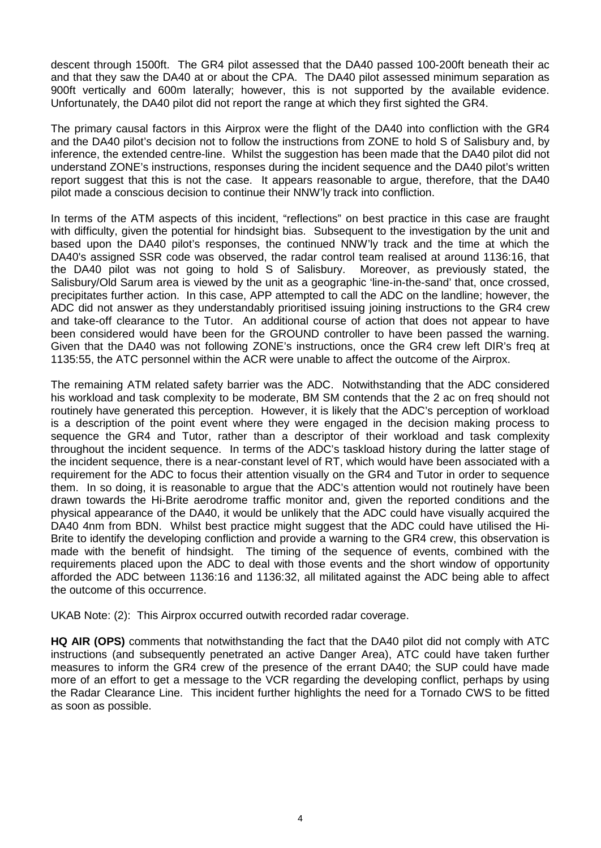descent through 1500ft. The GR4 pilot assessed that the DA40 passed 100-200ft beneath their ac and that they saw the DA40 at or about the CPA. The DA40 pilot assessed minimum separation as 900ft vertically and 600m laterally; however, this is not supported by the available evidence. Unfortunately, the DA40 pilot did not report the range at which they first sighted the GR4.

The primary causal factors in this Airprox were the flight of the DA40 into confliction with the GR4 and the DA40 pilot's decision not to follow the instructions from ZONE to hold S of Salisbury and, by inference, the extended centre-line. Whilst the suggestion has been made that the DA40 pilot did not understand ZONE's instructions, responses during the incident sequence and the DA40 pilot's written report suggest that this is not the case. It appears reasonable to argue, therefore, that the DA40 pilot made a conscious decision to continue their NNW'ly track into confliction.

In terms of the ATM aspects of this incident, "reflections" on best practice in this case are fraught with difficulty, given the potential for hindsight bias. Subsequent to the investigation by the unit and based upon the DA40 pilot's responses, the continued NNW'ly track and the time at which the DA40's assigned SSR code was observed, the radar control team realised at around 1136:16, that the DA40 pilot was not going to hold S of Salisbury. Moreover, as previously stated, the the DA40 pilot was not going to hold S of Salisbury. Salisbury/Old Sarum area is viewed by the unit as a geographic 'line-in-the-sand' that, once crossed. precipitates further action. In this case, APP attempted to call the ADC on the landline; however, the ADC did not answer as they understandably prioritised issuing joining instructions to the GR4 crew and take-off clearance to the Tutor. An additional course of action that does not appear to have been considered would have been for the GROUND controller to have been passed the warning. Given that the DA40 was not following ZONE's instructions, once the GR4 crew left DIR's freq at 1135:55, the ATC personnel within the ACR were unable to affect the outcome of the Airprox.

The remaining ATM related safety barrier was the ADC. Notwithstanding that the ADC considered his workload and task complexity to be moderate, BM SM contends that the 2 ac on freq should not routinely have generated this perception. However, it is likely that the ADC's perception of workload is a description of the point event where they were engaged in the decision making process to sequence the GR4 and Tutor, rather than a descriptor of their workload and task complexity throughout the incident sequence. In terms of the ADC's taskload history during the latter stage of the incident sequence, there is a near-constant level of RT, which would have been associated with a requirement for the ADC to focus their attention visually on the GR4 and Tutor in order to sequence them. In so doing, it is reasonable to argue that the ADC's attention would not routinely have been drawn towards the Hi-Brite aerodrome traffic monitor and, given the reported conditions and the physical appearance of the DA40, it would be unlikely that the ADC could have visually acquired the DA40 4nm from BDN. Whilst best practice might suggest that the ADC could have utilised the Hi-Brite to identify the developing confliction and provide a warning to the GR4 crew, this observation is made with the benefit of hindsight. The timing of the sequence of events, combined with the requirements placed upon the ADC to deal with those events and the short window of opportunity afforded the ADC between 1136:16 and 1136:32, all militated against the ADC being able to affect the outcome of this occurrence.

UKAB Note: (2): This Airprox occurred outwith recorded radar coverage.

**HQ AIR (OPS)** comments that notwithstanding the fact that the DA40 pilot did not comply with ATC instructions (and subsequently penetrated an active Danger Area), ATC could have taken further measures to inform the GR4 crew of the presence of the errant DA40; the SUP could have made more of an effort to get a message to the VCR regarding the developing conflict, perhaps by using the Radar Clearance Line. This incident further highlights the need for a Tornado CWS to be fitted as soon as possible.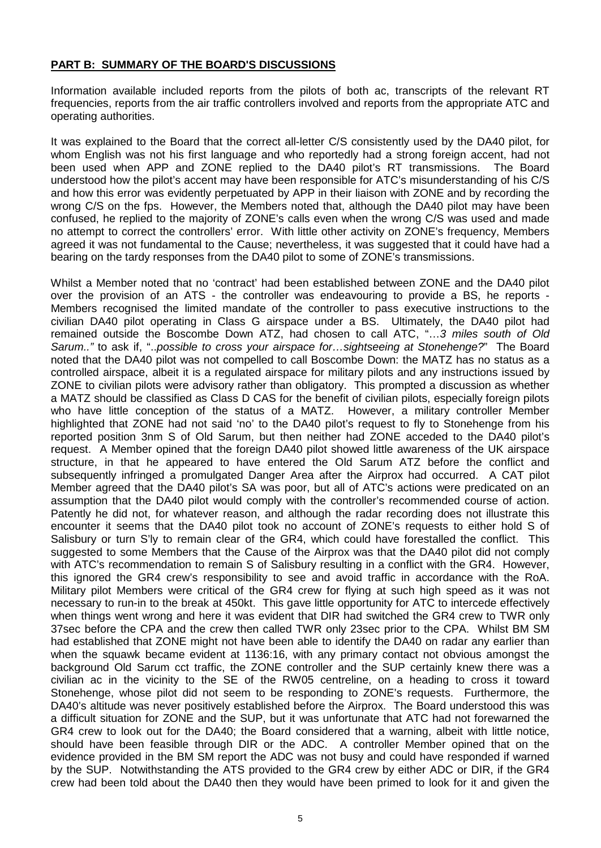#### **PART B: SUMMARY OF THE BOARD'S DISCUSSIONS**

Information available included reports from the pilots of both ac, transcripts of the relevant RT frequencies, reports from the air traffic controllers involved and reports from the appropriate ATC and operating authorities.

It was explained to the Board that the correct all-letter C/S consistently used by the DA40 pilot, for whom English was not his first language and who reportedly had a strong foreign accent, had not been used when APP and ZONE replied to the DA40 pilot's RT transmissions. The Board understood how the pilot's accent may have been responsible for ATC's misunderstanding of his C/S and how this error was evidently perpetuated by APP in their liaison with ZONE and by recording the wrong C/S on the fps. However, the Members noted that, although the DA40 pilot may have been confused, he replied to the majority of ZONE's calls even when the wrong C/S was used and made no attempt to correct the controllers' error. With little other activity on ZONE's frequency, Members agreed it was not fundamental to the Cause; nevertheless, it was suggested that it could have had a bearing on the tardy responses from the DA40 pilot to some of ZONE's transmissions.

Whilst a Member noted that no 'contract' had been established between ZONE and the DA40 pilot over the provision of an ATS - the controller was endeavouring to provide a BS, he reports - Members recognised the limited mandate of the controller to pass executive instructions to the civilian DA40 pilot operating in Class G airspace under a BS. Ultimately, the DA40 pilot had remained outside the Boscombe Down ATZ, had chosen to call ATC, "…*3 miles south of Old Sarum.."* to ask if, "..*possible to cross your airspace for…sightseeing at Stonehenge?*" The Board noted that the DA40 pilot was not compelled to call Boscombe Down: the MATZ has no status as a controlled airspace, albeit it is a regulated airspace for military pilots and any instructions issued by ZONE to civilian pilots were advisory rather than obligatory. This prompted a discussion as whether a MATZ should be classified as Class D CAS for the benefit of civilian pilots, especially foreign pilots who have little conception of the status of a MATZ. However, a military controller Member highlighted that ZONE had not said 'no' to the DA40 pilot's request to fly to Stonehenge from his reported position 3nm S of Old Sarum, but then neither had ZONE acceded to the DA40 pilot's request. A Member opined that the foreign DA40 pilot showed little awareness of the UK airspace structure, in that he appeared to have entered the Old Sarum ATZ before the conflict and subsequently infringed a promulgated Danger Area after the Airprox had occurred. A CAT pilot Member agreed that the DA40 pilot's SA was poor, but all of ATC's actions were predicated on an assumption that the DA40 pilot would comply with the controller's recommended course of action. Patently he did not, for whatever reason, and although the radar recording does not illustrate this encounter it seems that the DA40 pilot took no account of ZONE's requests to either hold S of Salisbury or turn S'ly to remain clear of the GR4, which could have forestalled the conflict. This suggested to some Members that the Cause of the Airprox was that the DA40 pilot did not comply with ATC's recommendation to remain S of Salisbury resulting in a conflict with the GR4. However, this ignored the GR4 crew's responsibility to see and avoid traffic in accordance with the RoA. Military pilot Members were critical of the GR4 crew for flying at such high speed as it was not necessary to run-in to the break at 450kt. This gave little opportunity for ATC to intercede effectively when things went wrong and here it was evident that DIR had switched the GR4 crew to TWR only 37sec before the CPA and the crew then called TWR only 23sec prior to the CPA. Whilst BM SM had established that ZONE might not have been able to identify the DA40 on radar any earlier than when the squawk became evident at 1136:16, with any primary contact not obvious amongst the background Old Sarum cct traffic, the ZONE controller and the SUP certainly knew there was a civilian ac in the vicinity to the SE of the RW05 centreline, on a heading to cross it toward Stonehenge, whose pilot did not seem to be responding to ZONE's requests. Furthermore, the DA40's altitude was never positively established before the Airprox. The Board understood this was a difficult situation for ZONE and the SUP, but it was unfortunate that ATC had not forewarned the GR4 crew to look out for the DA40; the Board considered that a warning, albeit with little notice, should have been feasible through DIR or the ADC. A controller Member opined that on the evidence provided in the BM SM report the ADC was not busy and could have responded if warned by the SUP. Notwithstanding the ATS provided to the GR4 crew by either ADC or DIR, if the GR4 crew had been told about the DA40 then they would have been primed to look for it and given the